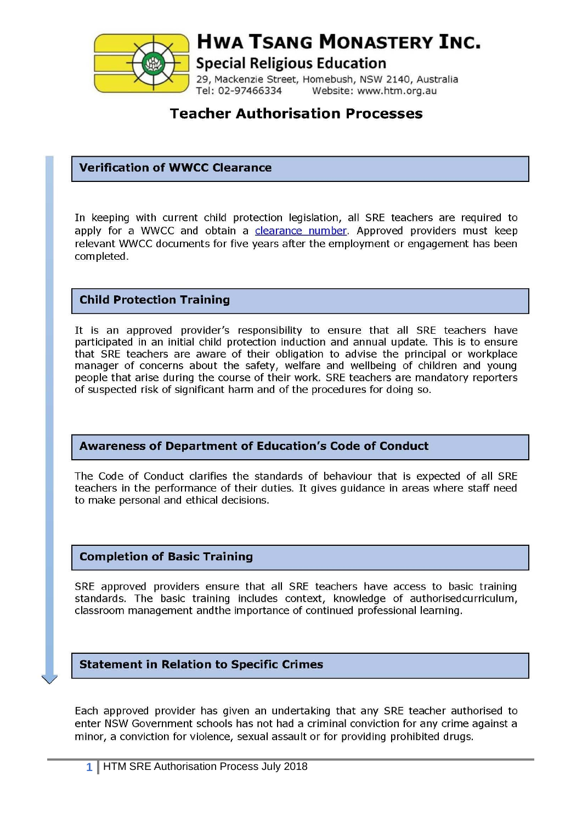

# **HWA TSANG MONASTERY INC.**

**Special Religious Education** 

29, Mackenzie Street, Homebush, NSW 2140, Australia Tel: 02-97466334 Website: www.htm.org.au

# **Teacher Authorisation Processes**

#### **Verification of WWCC Clearance**

In keeping with current child protection legislation, all SRE teachers are required to apply for a WWCC and obtain a clearance number. Approved providers must keep relevant WWCC documents for five years after the employment or engagement has been completed.

#### **Child Protection Training**

It is an approved provider's responsibility to ensure that all SRE teachers have participated in an initial child protection induction and annual update. This is to ensure that SRE teachers are aware of their obligation to advise the principal or workplace manager of concerns about the safety, welfare and wellbeing of children and young people that arise during the course of their work. SRE teachers are mandatory reporters of suspected risk of significant harm and of the procedures for doing so.

#### **Awareness of Department of Education's Code of Conduct**

The Code of Conduct clarifies the standards of behaviour that is expected of all SRE teachers in the performance of their duties. It gives guidance in areas where staff need to make personal and ethical decisions.

#### **Completion of Basic Training**

SRE approved providers ensure that all SRE teachers have access to basic training standards. The basic training includes context, knowledge of authorisedcurriculum, classroom management and the importance of continued professional learning.

#### **Statement in Relation to Specific Crimes**

Each approved provider has given an undertaking that any SRE teacher authorised to enter NSW Government schools has not had a criminal conviction for any crime against a minor, a conviction for violence, sexual assault or for providing prohibited drugs.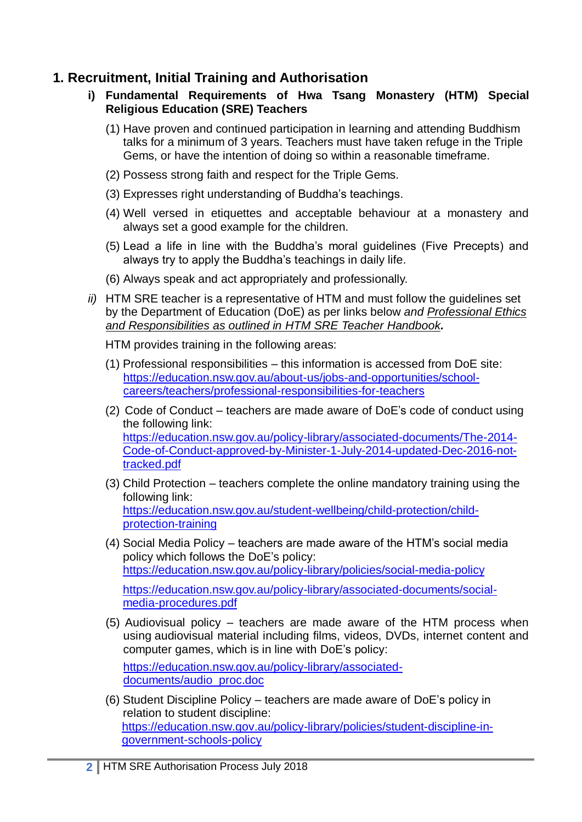### **1. Recruitment, Initial Training and Authorisation**

- **i) Fundamental Requirements of Hwa Tsang Monastery (HTM) Special Religious Education (SRE) Teachers**
	- (1) Have proven and continued participation in learning and attending Buddhism talks for a minimum of 3 years. Teachers must have taken refuge in the Triple Gems, or have the intention of doing so within a reasonable timeframe.
	- (2) Possess strong faith and respect for the Triple Gems.
	- (3) Expresses right understanding of Buddha's teachings.
	- (4) Well versed in etiquettes and acceptable behaviour at a monastery and always set a good example for the children.
	- (5) Lead a life in line with the Buddha's moral guidelines (Five Precepts) and always try to apply the Buddha's teachings in daily life.
	- (6) Always speak and act appropriately and professionally.
- *ii)* HTM SRE teacher is a representative of HTM and must follow the guidelines set by the Department of Education (DoE) as per links below *and Professional Ethics and Responsibilities as outlined in HTM SRE Teacher Handbook.*
	- HTM provides training in the following areas:
	- (1) Professional responsibilities this information is accessed from DoE site: [https://education.nsw.gov.au/about-us/jobs-and-opportunities/school](https://education.nsw.gov.au/about-us/jobs-and-opportunities/school-careers/teachers/professional-responsibilities-for-teachers)[careers/teachers/professional-responsibilities-for-teachers](https://education.nsw.gov.au/about-us/jobs-and-opportunities/school-careers/teachers/professional-responsibilities-for-teachers)
	- (2) Code of Conduct teachers are made aware of DoE's code of conduct using the following link: [https://education.nsw.gov.au/policy-library/associated-documents/The-2014-](https://education.nsw.gov.au/policy-library/associated-documents/The-2014-Code-of-Conduct-approved-by-Minister-1-July-2014-updated-Dec-2016-not-tracked.pdf) [Code-of-Conduct-approved-by-Minister-1-July-2014-updated-Dec-2016-not](https://education.nsw.gov.au/policy-library/associated-documents/The-2014-Code-of-Conduct-approved-by-Minister-1-July-2014-updated-Dec-2016-not-tracked.pdf)[tracked.pdf](https://education.nsw.gov.au/policy-library/associated-documents/The-2014-Code-of-Conduct-approved-by-Minister-1-July-2014-updated-Dec-2016-not-tracked.pdf)
	- (3) Child Protection teachers complete the online mandatory training using the following link: [https://education.nsw.gov.au/student-wellbeing/child-protection/child](https://education.nsw.gov.au/student-wellbeing/child-protection/child-protection-training)[protection-training](https://education.nsw.gov.au/student-wellbeing/child-protection/child-protection-training)
	- (4) Social Media Policy teachers are made aware of the HTM's social media policy which follows the DoE's policy: <https://education.nsw.gov.au/policy-library/policies/social-media-policy> [https://education.nsw.gov.au/policy-library/associated-documents/social](https://education.nsw.gov.au/policy-library/associated-documents/social-media-procedures.pdf)[media-procedures.pdf](https://education.nsw.gov.au/policy-library/associated-documents/social-media-procedures.pdf)
	- (5) Audiovisual policy teachers are made aware of the HTM process when using audiovisual material including films, videos, DVDs, internet content and computer games, which is in line with DoE's policy: [https://education.nsw.gov.au/policy-library/associated](https://education.nsw.gov.au/policy-library/associated-documents/audio_proc.doc)[documents/audio\\_proc.doc](https://education.nsw.gov.au/policy-library/associated-documents/audio_proc.doc)
	- (6) Student Discipline Policy teachers are made aware of DoE's policy in relation to student discipline: [https://education.nsw.gov.au/policy-library/policies/student-discipline-in](https://education.nsw.gov.au/policy-library/policies/student-discipline-in-government-schools-policy)[government-schools-policy](https://education.nsw.gov.au/policy-library/policies/student-discipline-in-government-schools-policy)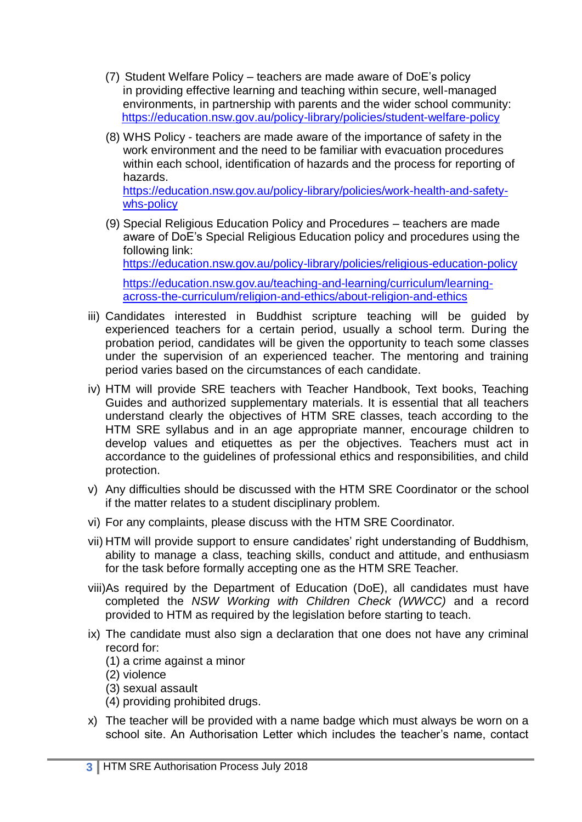- (7) Student Welfare Policy teachers are made aware of DoE's policy in providing effective learning and teaching within secure, well-managed environments, in partnership with parents and the wider school community: <https://education.nsw.gov.au/policy-library/policies/student-welfare-policy>
- (8) WHS Policy teachers are made aware of the importance of safety in the work environment and the need to be familiar with evacuation procedures within each school, identification of hazards and the process for reporting of hazards. [https://education.nsw.gov.au/policy-library/policies/work-health-and-safety](https://education.nsw.gov.au/policy-library/policies/work-health-and-safety-whs-policy)[whs-policy](https://education.nsw.gov.au/policy-library/policies/work-health-and-safety-whs-policy)
- (9) Special Religious Education Policy and Procedures teachers are made aware of DoE's Special Religious Education policy and procedures using the following link: <https://education.nsw.gov.au/policy-library/policies/religious-education-policy> [https://education.nsw.gov.au/teaching-and-learning/curriculum/learning-](https://education.nsw.gov.au/teaching-and-learning/curriculum/learning-across-the-curriculum/religion-and-ethics/about-religion-and-ethics)

[across-the-curriculum/religion-and-ethics/about-religion-and-ethics](https://education.nsw.gov.au/teaching-and-learning/curriculum/learning-across-the-curriculum/religion-and-ethics/about-religion-and-ethics)

- iii) Candidates interested in Buddhist scripture teaching will be guided by experienced teachers for a certain period, usually a school term. During the probation period, candidates will be given the opportunity to teach some classes under the supervision of an experienced teacher. The mentoring and training period varies based on the circumstances of each candidate.
- iv) HTM will provide SRE teachers with Teacher Handbook, Text books, Teaching Guides and authorized supplementary materials. It is essential that all teachers understand clearly the objectives of HTM SRE classes, teach according to the HTM SRE syllabus and in an age appropriate manner, encourage children to develop values and etiquettes as per the objectives. Teachers must act in accordance to the guidelines of professional ethics and responsibilities, and child protection.
- v) Any difficulties should be discussed with the HTM SRE Coordinator or the school if the matter relates to a student disciplinary problem.
- vi) For any complaints, please discuss with the HTM SRE Coordinator.
- vii) HTM will provide support to ensure candidates' right understanding of Buddhism, ability to manage a class, teaching skills, conduct and attitude, and enthusiasm for the task before formally accepting one as the HTM SRE Teacher.
- viii)As required by the Department of Education (DoE), all candidates must have completed the *NSW Working with Children Check (WWCC)* and a record provided to HTM as required by the legislation before starting to teach.
- ix) The candidate must also sign a declaration that one does not have any criminal record for:
	- (1) a crime against a minor
	- (2) violence
	- (3) sexual assault
	- (4) providing prohibited drugs.
- x) The teacher will be provided with a name badge which must always be worn on a school site. An Authorisation Letter which includes the teacher's name, contact